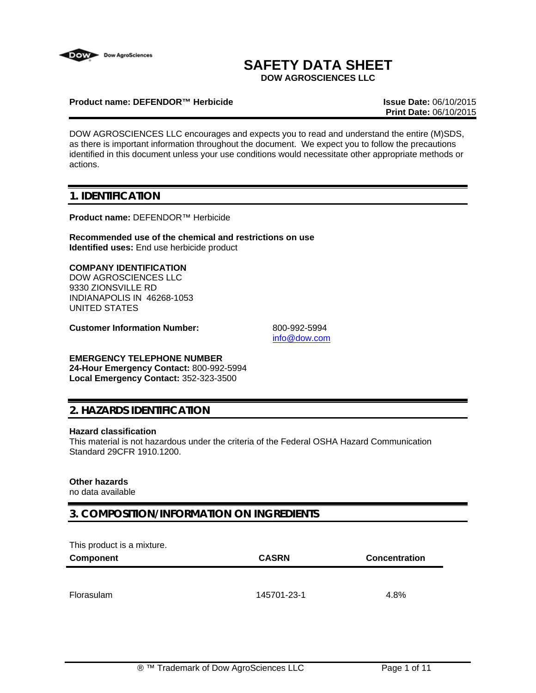

# **SAFETY DATA SHEET**

**DOW AGROSCIENCES LLC**

#### **Product name: DEFENDOR™ Herbicide Issue Date:** 06/10/2015

**Print Date:** 06/10/2015

DOW AGROSCIENCES LLC encourages and expects you to read and understand the entire (M)SDS, as there is important information throughout the document. We expect you to follow the precautions identified in this document unless your use conditions would necessitate other appropriate methods or actions.

## **1. IDENTIFICATION**

**Product name:** DEFENDOR™ Herbicide

**Recommended use of the chemical and restrictions on use Identified uses:** End use herbicide product

#### **COMPANY IDENTIFICATION**

DOW AGROSCIENCES LLC 9330 ZIONSVILLE RD INDIANAPOLIS IN 46268-1053 UNITED STATES

**Customer Information Number:** 800-992-5994

info@dow.com

### **EMERGENCY TELEPHONE NUMBER**

**24-Hour Emergency Contact:** 800-992-5994 **Local Emergency Contact:** 352-323-3500

## **2. HAZARDS IDENTIFICATION**

#### **Hazard classification**

This material is not hazardous under the criteria of the Federal OSHA Hazard Communication Standard 29CFR 1910.1200.

## **Other hazards**

no data available

## **3. COMPOSITION/INFORMATION ON INGREDIENTS**

This product is a mixture.

| Component  | <b>CASRN</b> | <b>Concentration</b> |
|------------|--------------|----------------------|
|            |              |                      |
| Florasulam | 145701-23-1  | 4.8%                 |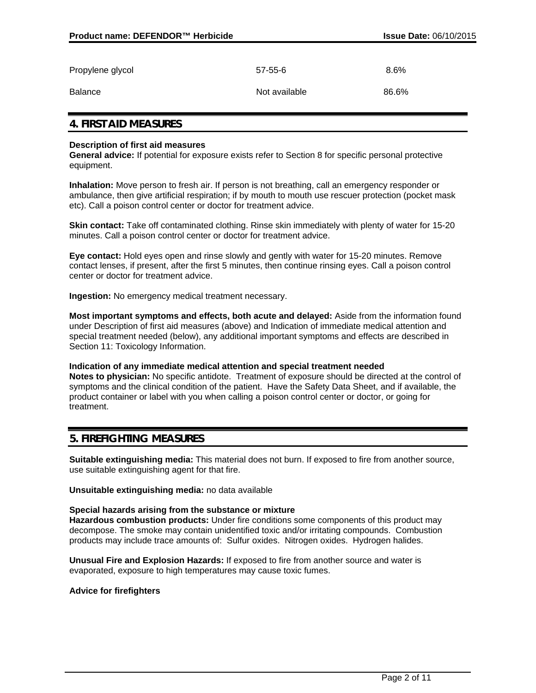| Propylene glycol | $57 - 55 - 6$ | 8.6%  |
|------------------|---------------|-------|
| Balance          | Not available | 86.6% |

## **4. FIRST AID MEASURES**

#### **Description of first aid measures**

**General advice:** If potential for exposure exists refer to Section 8 for specific personal protective equipment.

**Inhalation:** Move person to fresh air. If person is not breathing, call an emergency responder or ambulance, then give artificial respiration; if by mouth to mouth use rescuer protection (pocket mask etc). Call a poison control center or doctor for treatment advice.

**Skin contact:** Take off contaminated clothing. Rinse skin immediately with plenty of water for 15-20 minutes. Call a poison control center or doctor for treatment advice.

**Eye contact:** Hold eyes open and rinse slowly and gently with water for 15-20 minutes. Remove contact lenses, if present, after the first 5 minutes, then continue rinsing eyes. Call a poison control center or doctor for treatment advice.

**Ingestion:** No emergency medical treatment necessary.

**Most important symptoms and effects, both acute and delayed:** Aside from the information found under Description of first aid measures (above) and Indication of immediate medical attention and special treatment needed (below), any additional important symptoms and effects are described in Section 11: Toxicology Information.

**Indication of any immediate medical attention and special treatment needed Notes to physician:** No specific antidote. Treatment of exposure should be directed at the control of symptoms and the clinical condition of the patient. Have the Safety Data Sheet, and if available, the product container or label with you when calling a poison control center or doctor, or going for treatment.

### **5. FIREFIGHTING MEASURES**

**Suitable extinguishing media:** This material does not burn. If exposed to fire from another source, use suitable extinguishing agent for that fire.

**Unsuitable extinguishing media:** no data available

#### **Special hazards arising from the substance or mixture**

**Hazardous combustion products:** Under fire conditions some components of this product may decompose. The smoke may contain unidentified toxic and/or irritating compounds. Combustion products may include trace amounts of: Sulfur oxides. Nitrogen oxides. Hydrogen halides.

**Unusual Fire and Explosion Hazards:** If exposed to fire from another source and water is evaporated, exposure to high temperatures may cause toxic fumes.

#### **Advice for firefighters**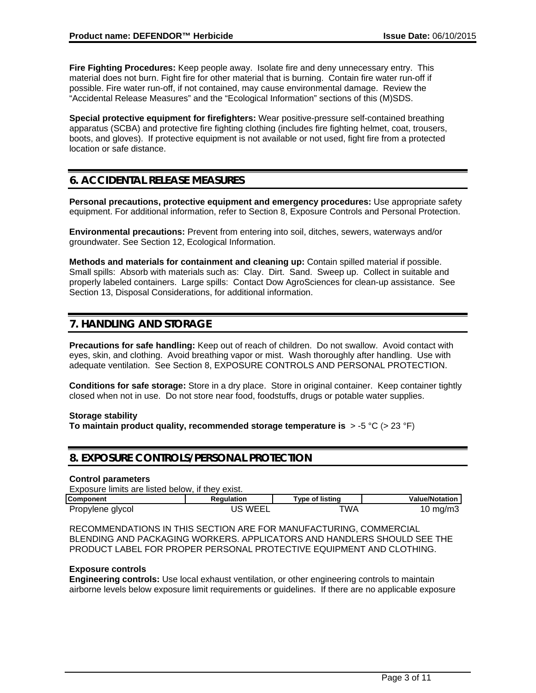**Fire Fighting Procedures:** Keep people away. Isolate fire and deny unnecessary entry. This material does not burn. Fight fire for other material that is burning. Contain fire water run-off if possible. Fire water run-off, if not contained, may cause environmental damage. Review the "Accidental Release Measures" and the "Ecological Information" sections of this (M)SDS.

**Special protective equipment for firefighters:** Wear positive-pressure self-contained breathing apparatus (SCBA) and protective fire fighting clothing (includes fire fighting helmet, coat, trousers, boots, and gloves). If protective equipment is not available or not used, fight fire from a protected location or safe distance.

## **6. ACCIDENTAL RELEASE MEASURES**

**Personal precautions, protective equipment and emergency procedures:** Use appropriate safety equipment. For additional information, refer to Section 8, Exposure Controls and Personal Protection.

**Environmental precautions:** Prevent from entering into soil, ditches, sewers, waterways and/or groundwater. See Section 12, Ecological Information.

**Methods and materials for containment and cleaning up:** Contain spilled material if possible. Small spills: Absorb with materials such as: Clay. Dirt. Sand. Sweep up. Collect in suitable and properly labeled containers. Large spills: Contact Dow AgroSciences for clean-up assistance. See Section 13, Disposal Considerations, for additional information.

## **7. HANDLING AND STORAGE**

**Precautions for safe handling:** Keep out of reach of children. Do not swallow. Avoid contact with eyes, skin, and clothing. Avoid breathing vapor or mist. Wash thoroughly after handling. Use with adequate ventilation. See Section 8, EXPOSURE CONTROLS AND PERSONAL PROTECTION.

**Conditions for safe storage:** Store in a dry place. Store in original container. Keep container tightly closed when not in use. Do not store near food, foodstuffs, drugs or potable water supplies.

#### **Storage stability**

**To maintain product quality, recommended storage temperature is** > -5 °C (> 23 °F)

## **8. EXPOSURE CONTROLS/PERSONAL PROTECTION**

#### **Control parameters**

| Exposure limits are listed below, if they exist. |            |                        |                       |
|--------------------------------------------------|------------|------------------------|-----------------------|
| <b>Component</b>                                 | Reaulation | <b>Type of listing</b> | <b>Value/Notation</b> |
| Propylene glycol                                 | JS WEEL    | ™A                     | $10 \text{ mg/m}$     |

RECOMMENDATIONS IN THIS SECTION ARE FOR MANUFACTURING, COMMERCIAL BLENDING AND PACKAGING WORKERS. APPLICATORS AND HANDLERS SHOULD SEE THE PRODUCT LABEL FOR PROPER PERSONAL PROTECTIVE EQUIPMENT AND CLOTHING.

#### **Exposure controls**

**Engineering controls:** Use local exhaust ventilation, or other engineering controls to maintain airborne levels below exposure limit requirements or guidelines. If there are no applicable exposure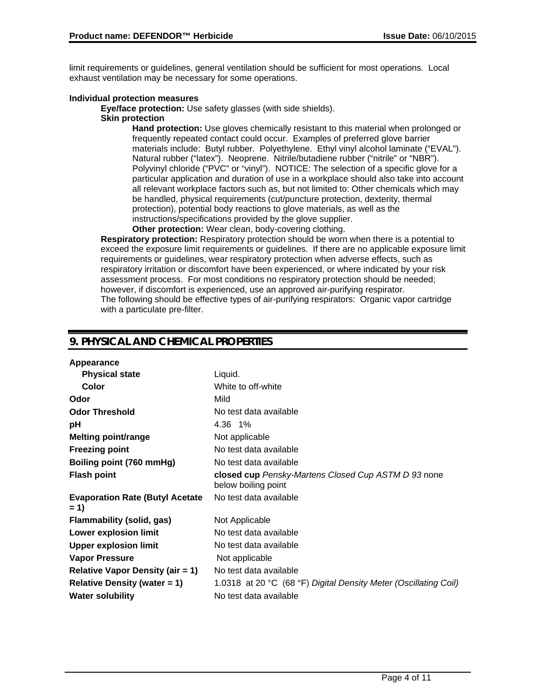limit requirements or guidelines, general ventilation should be sufficient for most operations. Local exhaust ventilation may be necessary for some operations.

#### **Individual protection measures**

**Eye/face protection:** Use safety glasses (with side shields).

#### **Skin protection**

**Hand protection:** Use gloves chemically resistant to this material when prolonged or frequently repeated contact could occur. Examples of preferred glove barrier materials include: Butyl rubber. Polyethylene. Ethyl vinyl alcohol laminate ("EVAL"). Natural rubber ("latex"). Neoprene. Nitrile/butadiene rubber ("nitrile" or "NBR"). Polyvinyl chloride ("PVC" or "vinyl"). NOTICE: The selection of a specific glove for a particular application and duration of use in a workplace should also take into account all relevant workplace factors such as, but not limited to: Other chemicals which may be handled, physical requirements (cut/puncture protection, dexterity, thermal protection), potential body reactions to glove materials, as well as the instructions/specifications provided by the glove supplier.

**Other protection:** Wear clean, body-covering clothing.

**Respiratory protection:** Respiratory protection should be worn when there is a potential to exceed the exposure limit requirements or guidelines. If there are no applicable exposure limit requirements or guidelines, wear respiratory protection when adverse effects, such as respiratory irritation or discomfort have been experienced, or where indicated by your risk assessment process. For most conditions no respiratory protection should be needed; however, if discomfort is experienced, use an approved air-purifying respirator. The following should be effective types of air-purifying respirators: Organic vapor cartridge with a particulate pre-filter.

## **9. PHYSICAL AND CHEMICAL PROPERTIES**

| Appearance                                       |                                                                            |
|--------------------------------------------------|----------------------------------------------------------------------------|
| <b>Physical state</b>                            | Liquid.                                                                    |
| Color                                            | White to off-white                                                         |
| Odor                                             | Mild                                                                       |
| <b>Odor Threshold</b>                            | No test data available                                                     |
| рH                                               | 4.36 1%                                                                    |
| <b>Melting point/range</b>                       | Not applicable                                                             |
| <b>Freezing point</b>                            | No test data available                                                     |
| Boiling point (760 mmHg)                         | No test data available                                                     |
| <b>Flash point</b>                               | closed cup Pensky-Martens Closed Cup ASTM D 93 none<br>below boiling point |
| <b>Evaporation Rate (Butyl Acetate)</b><br>$= 1$ | No test data available                                                     |
| Flammability (solid, gas)                        | Not Applicable                                                             |
| Lower explosion limit                            | No test data available                                                     |
| <b>Upper explosion limit</b>                     | No test data available                                                     |
| <b>Vapor Pressure</b>                            | Not applicable                                                             |
| Relative Vapor Density (air $= 1$ )              | No test data available                                                     |
| Relative Density (water $= 1$ )                  | 1.0318 at 20 °C (68 °F) Digital Density Meter (Oscillating Coil)           |
| <b>Water solubility</b>                          | No test data available                                                     |
|                                                  |                                                                            |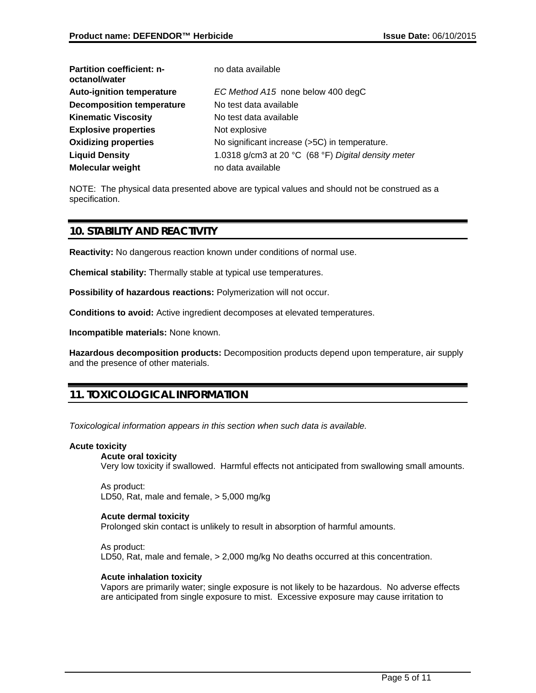| <b>Partition coefficient: n-</b><br>octanol/water | no data available                                   |
|---------------------------------------------------|-----------------------------------------------------|
| <b>Auto-ignition temperature</b>                  | EC Method A15 none below 400 degC                   |
| <b>Decomposition temperature</b>                  | No test data available                              |
| <b>Kinematic Viscosity</b>                        | No test data available                              |
| <b>Explosive properties</b>                       | Not explosive                                       |
| <b>Oxidizing properties</b>                       | No significant increase (>5C) in temperature.       |
| <b>Liquid Density</b>                             | 1.0318 g/cm3 at 20 °C (68 °F) Digital density meter |
| <b>Molecular weight</b>                           | no data available                                   |

NOTE: The physical data presented above are typical values and should not be construed as a specification.

## **10. STABILITY AND REACTIVITY**

**Reactivity:** No dangerous reaction known under conditions of normal use.

**Chemical stability:** Thermally stable at typical use temperatures.

**Possibility of hazardous reactions:** Polymerization will not occur.

**Conditions to avoid:** Active ingredient decomposes at elevated temperatures.

**Incompatible materials:** None known.

**Hazardous decomposition products:** Decomposition products depend upon temperature, air supply and the presence of other materials.

## **11. TOXICOLOGICAL INFORMATION**

*Toxicological information appears in this section when such data is available.*

#### **Acute toxicity**

#### **Acute oral toxicity**

Very low toxicity if swallowed. Harmful effects not anticipated from swallowing small amounts.

As product: LD50, Rat, male and female, > 5,000 mg/kg

#### **Acute dermal toxicity**

Prolonged skin contact is unlikely to result in absorption of harmful amounts.

As product: LD50, Rat, male and female, > 2,000 mg/kg No deaths occurred at this concentration.

### **Acute inhalation toxicity**

Vapors are primarily water; single exposure is not likely to be hazardous. No adverse effects are anticipated from single exposure to mist. Excessive exposure may cause irritation to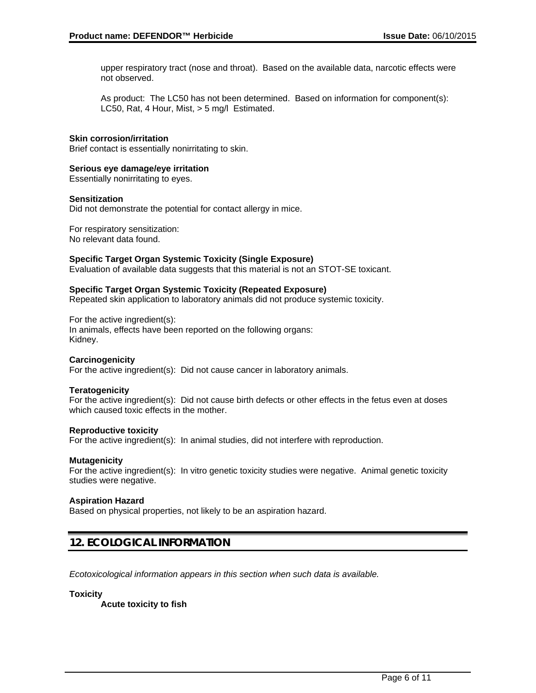upper respiratory tract (nose and throat). Based on the available data, narcotic effects were not observed.

As product: The LC50 has not been determined. Based on information for component(s): LC50, Rat, 4 Hour, Mist, > 5 mg/l Estimated.

#### **Skin corrosion/irritation**

Brief contact is essentially nonirritating to skin.

#### **Serious eye damage/eye irritation**

Essentially nonirritating to eyes.

#### **Sensitization**

Did not demonstrate the potential for contact allergy in mice.

For respiratory sensitization: No relevant data found.

#### **Specific Target Organ Systemic Toxicity (Single Exposure)**

Evaluation of available data suggests that this material is not an STOT-SE toxicant.

#### **Specific Target Organ Systemic Toxicity (Repeated Exposure)**

Repeated skin application to laboratory animals did not produce systemic toxicity.

For the active ingredient(s):

In animals, effects have been reported on the following organs: Kidney.

#### **Carcinogenicity**

For the active ingredient(s): Did not cause cancer in laboratory animals.

#### **Teratogenicity**

For the active ingredient(s): Did not cause birth defects or other effects in the fetus even at doses which caused toxic effects in the mother.

#### **Reproductive toxicity**

For the active ingredient(s): In animal studies, did not interfere with reproduction.

#### **Mutagenicity**

For the active ingredient(s): In vitro genetic toxicity studies were negative. Animal genetic toxicity studies were negative.

#### **Aspiration Hazard**

Based on physical properties, not likely to be an aspiration hazard.

## **12. ECOLOGICAL INFORMATION**

*Ecotoxicological information appears in this section when such data is available.*

#### **Toxicity**

**Acute toxicity to fish**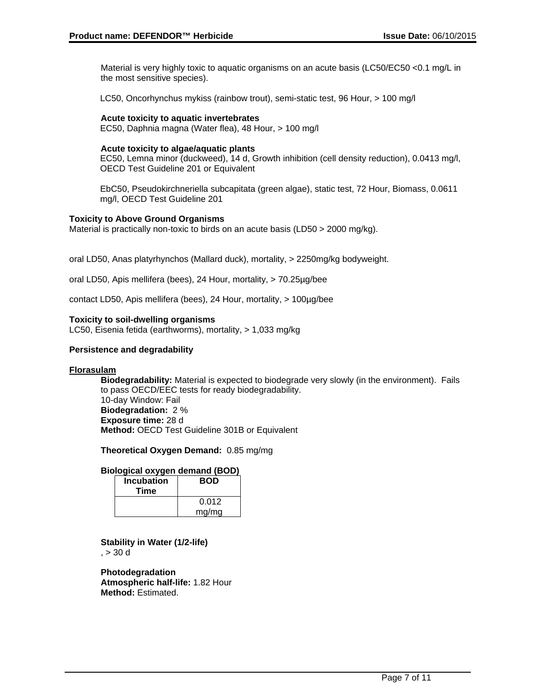Material is very highly toxic to aquatic organisms on an acute basis (LC50/EC50 <0.1 mg/L in the most sensitive species).

LC50, Oncorhynchus mykiss (rainbow trout), semi-static test, 96 Hour, > 100 mg/l

**Acute toxicity to aquatic invertebrates** EC50, Daphnia magna (Water flea), 48 Hour, > 100 mg/l

#### **Acute toxicity to algae/aquatic plants**

EC50, Lemna minor (duckweed), 14 d, Growth inhibition (cell density reduction), 0.0413 mg/l, OECD Test Guideline 201 or Equivalent

EbC50, Pseudokirchneriella subcapitata (green algae), static test, 72 Hour, Biomass, 0.0611 mg/l, OECD Test Guideline 201

#### **Toxicity to Above Ground Organisms**

Material is practically non-toxic to birds on an acute basis (LD50 > 2000 mg/kg).

oral LD50, Anas platyrhynchos (Mallard duck), mortality, > 2250mg/kg bodyweight.

oral LD50, Apis mellifera (bees), 24 Hour, mortality, > 70.25µg/bee

contact LD50, Apis mellifera (bees), 24 Hour, mortality, > 100µg/bee

#### **Toxicity to soil-dwelling organisms**

LC50, Eisenia fetida (earthworms), mortality, > 1,033 mg/kg

#### **Persistence and degradability**

#### **Florasulam**

**Biodegradability:** Material is expected to biodegrade very slowly (in the environment). Fails to pass OECD/EEC tests for ready biodegradability. 10-day Window: Fail **Biodegradation:** 2 % **Exposure time:** 28 d **Method:** OECD Test Guideline 301B or Equivalent

**Theoretical Oxygen Demand:** 0.85 mg/mg

#### **Biological oxygen demand (BOD)**

| <b>Incubation</b><br>Time | <b>BOD</b> |
|---------------------------|------------|
|                           | 0.012      |
|                           | mg/mg      |

**Stability in Water (1/2-life)**  $, > 30$  d

**Photodegradation Atmospheric half-life:** 1.82 Hour **Method:** Estimated.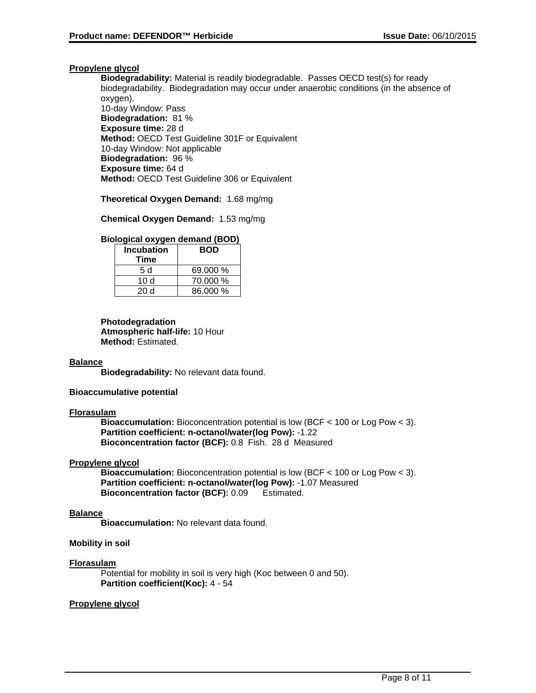#### **Propylene glycol**

**Biodegradability:** Material is readily biodegradable. Passes OECD test(s) for ready biodegradability. Biodegradation may occur under anaerobic conditions (in the absence of oxygen). 10-day Window: Pass **Biodegradation:** 81 % **Exposure time:** 28 d **Method:** OECD Test Guideline 301F or Equivalent 10-day Window: Not applicable **Biodegradation:** 96 % **Exposure time:** 64 d **Method:** OECD Test Guideline 306 or Equivalent

**Theoretical Oxygen Demand:** 1.68 mg/mg

**Chemical Oxygen Demand:** 1.53 mg/mg

#### **Biological oxygen demand (BOD)**

| <b>Incubation</b> | <b>BOD</b> |  |
|-------------------|------------|--|
| Time              |            |  |
| 5 d               | 69.000 %   |  |
| 10 d              | 70.000 %   |  |
| 20 d              | 86.000 %   |  |

**Photodegradation Atmospheric half-life:** 10 Hour **Method:** Estimated.

#### **Balance**

**Biodegradability:** No relevant data found.

#### **Bioaccumulative potential**

#### **Florasulam**

**Bioaccumulation:** Bioconcentration potential is low (BCF < 100 or Log Pow < 3). **Partition coefficient: n-octanol/water(log Pow):** -1.22 **Bioconcentration factor (BCF):** 0.8 Fish. 28 d Measured

#### **Propylene glycol**

**Bioaccumulation:** Bioconcentration potential is low (BCF < 100 or Log Pow < 3). **Partition coefficient: n-octanol/water(log Pow):** -1.07 Measured **Bioconcentration factor (BCF):** 0.09 Estimated.

#### **Balance**

**Bioaccumulation:** No relevant data found.

#### **Mobility in soil**

#### **Florasulam**

Potential for mobility in soil is very high (Koc between 0 and 50). **Partition coefficient(Koc):** 4 - 54

#### **Propylene glycol**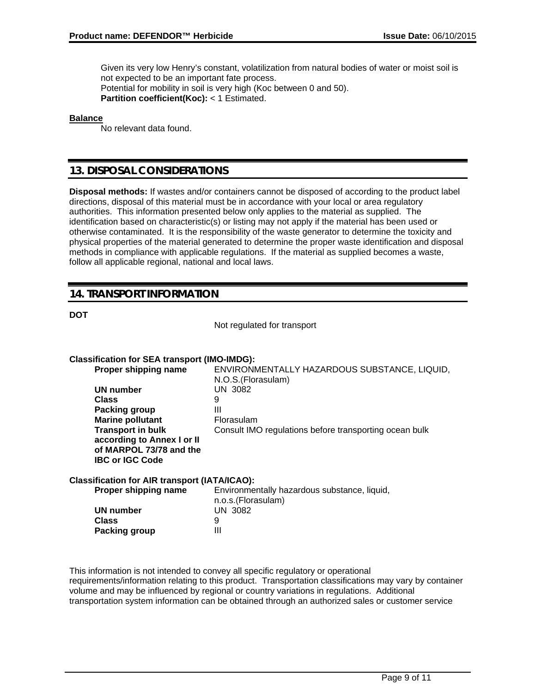Given its very low Henry's constant, volatilization from natural bodies of water or moist soil is not expected to be an important fate process. Potential for mobility in soil is very high (Koc between 0 and 50). **Partition coefficient(Koc):** < 1 Estimated.

#### **Balance**

No relevant data found.

## **13. DISPOSAL CONSIDERATIONS**

**Disposal methods:** If wastes and/or containers cannot be disposed of according to the product label directions, disposal of this material must be in accordance with your local or area regulatory authorities. This information presented below only applies to the material as supplied. The identification based on characteristic(s) or listing may not apply if the material has been used or otherwise contaminated. It is the responsibility of the waste generator to determine the toxicity and physical properties of the material generated to determine the proper waste identification and disposal methods in compliance with applicable regulations. If the material as supplied becomes a waste, follow all applicable regional, national and local laws.

## **14. TRANSPORT INFORMATION**

#### **DOT**

Not regulated for transport

#### **Classification for SEA transport (IMO-IMDG):**

**Proper shipping name** ENVIRONMENTALLY HAZARDOUS SUBSTANCE, LIQUID, N.O.S.(Florasulam) **UN number Class** 9 **Packing group III Marine pollutant Florasulam Transport in bulk according to Annex I or II of MARPOL 73/78 and the IBC or IGC Code** Consult IMO regulations before transporting ocean bulk

#### **Classification for AIR transport (IATA/ICAO):**

| Proper shipping name | Environmentally hazardous substance, liquid, |
|----------------------|----------------------------------------------|
|                      | n.o.s. (Florasulam)                          |
| UN number            | UN 3082                                      |
| Class                |                                              |
| Packing group        | Ш                                            |
|                      |                                              |

This information is not intended to convey all specific regulatory or operational requirements/information relating to this product. Transportation classifications may vary by container volume and may be influenced by regional or country variations in regulations. Additional transportation system information can be obtained through an authorized sales or customer service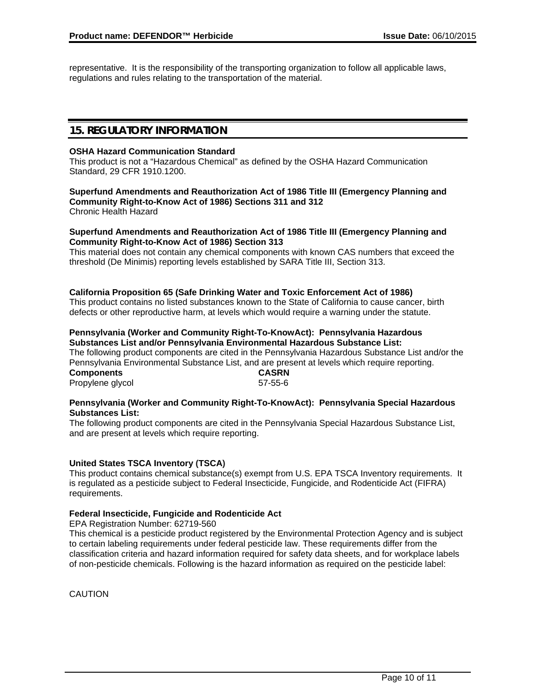representative. It is the responsibility of the transporting organization to follow all applicable laws, regulations and rules relating to the transportation of the material.

## **15. REGULATORY INFORMATION**

#### **OSHA Hazard Communication Standard**

This product is not a "Hazardous Chemical" as defined by the OSHA Hazard Communication Standard, 29 CFR 1910.1200.

## **Superfund Amendments and Reauthorization Act of 1986 Title III (Emergency Planning and Community Right-to-Know Act of 1986) Sections 311 and 312**

Chronic Health Hazard

#### **Superfund Amendments and Reauthorization Act of 1986 Title III (Emergency Planning and Community Right-to-Know Act of 1986) Section 313**

This material does not contain any chemical components with known CAS numbers that exceed the threshold (De Minimis) reporting levels established by SARA Title III, Section 313.

#### **California Proposition 65 (Safe Drinking Water and Toxic Enforcement Act of 1986)**

This product contains no listed substances known to the State of California to cause cancer, birth defects or other reproductive harm, at levels which would require a warning under the statute.

#### **Pennsylvania (Worker and Community Right-To-KnowAct): Pennsylvania Hazardous Substances List and/or Pennsylvania Environmental Hazardous Substance List:**

The following product components are cited in the Pennsylvania Hazardous Substance List and/or the Pennsylvania Environmental Substance List, and are present at levels which require reporting. **Components CASRN**

Propylene glycol 67-55-6

#### **Pennsylvania (Worker and Community Right-To-KnowAct): Pennsylvania Special Hazardous Substances List:**

The following product components are cited in the Pennsylvania Special Hazardous Substance List, and are present at levels which require reporting.

#### **United States TSCA Inventory (TSCA)**

This product contains chemical substance(s) exempt from U.S. EPA TSCA Inventory requirements. It is regulated as a pesticide subject to Federal Insecticide, Fungicide, and Rodenticide Act (FIFRA) requirements.

### **Federal Insecticide, Fungicide and Rodenticide Act**

EPA Registration Number: 62719-560

This chemical is a pesticide product registered by the Environmental Protection Agency and is subject to certain labeling requirements under federal pesticide law. These requirements differ from the classification criteria and hazard information required for safety data sheets, and for workplace labels of non-pesticide chemicals. Following is the hazard information as required on the pesticide label:

CAUTION